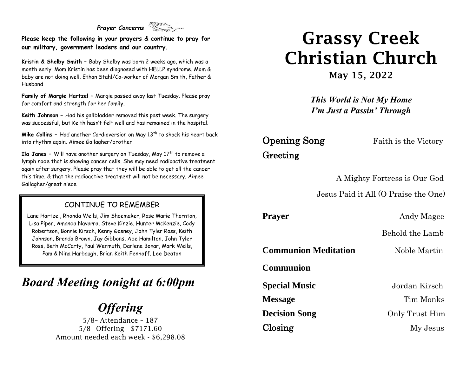#### *Prayer Concerns*

**Please keep the following in your prayers & continue to pray for our military, government leaders and our country.**

**Kristin & Shelby Smith –** Baby Shelby was born 2 weeks ago, which was a month early. Mom Kristin has been diagnosed with HELLP syndrome. Mom & baby are not doing well. Ethan Stahl/Co-worker of Morgan Smith, Father & Husband

**Family of Margie Hartzel –** Margie passed away last Tuesday. Please pray for comfort and strength for her family.

**Keith Johnson –** Had his gallbladder removed this past week. The surgery was successful, but Keith hasn't felt well and has remained in the hospital.

**Mike Collins -** Had another Cardioversion on May 13<sup>th</sup> to shock his heart back into rhythm again. Aimee Gallagher/brother

**Ila Janes -** Will have another surgery on Tuesday, May 17<sup>th</sup> to remove a lymph node that is showing cancer cells. She may need radioactive treatment again after surgery. Please pray that they will be able to get all the cancer this time. & that the radioactive treatment will not be necessary. Aimee Gallagher/great niece

#### CONTINUE TO REMEMBER

Lane Hartzel, Rhonda Wells, Jim Shoemaker, Rose Marie Thornton, Lisa Piper, Amanda Navarra, Steve Kinzie, Hunter McKenzie, Cody Robertson, Bonnie Kirsch, Kenny Gosney, John Tyler Ross, Keith Johnson, Brenda Brown, Jay Gibbons, Abe Hamilton, John Tyler Ross, Beth McCarty, Paul Wermuth, Darlene Bonar, Mark Wells, Pam & Nina Harbaugh, Brian Keith Fenhoff, Lee Deaton

### *Board Meeting tonight at 6:00pm*

## *Offering*

5/8– Attendance – 187 5/8– Offering - \$7171.60 Amount needed each week - \$6,298.08

# Grassy Creek Christian Church

May 15, 2022

*This World is Not My Home I'm Just a Passin' Through*

# Greeting

**Opening Song** Faith is the Victory

A Mighty Fortress is Our God

Jesus Paid it All (O Praise the One)

**Prayer** Andy Magee

Behold the Lamb

**Communion Meditation** Noble Martin

**Communion**

**Special Music** Jordan Kirsch **Message** Tim Monks **Decision Song** Only Trust Him Closing My Jesus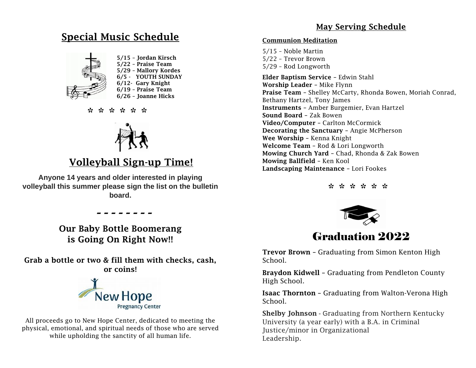#### May Serving Schedule

#### Special Music Schedule



 5/15 – Jordan Kirsch 5/22 – Praise Team 5/29 – Mallory Kordes 6/5 - YOUTH SUNDAY 6/12- Gary Knight 6/19 – Praise Team

\* \* \* \* \* \* \* \*



#### Volleyball Sign-up Time!

**Anyone 14 years and older interested in playing volleyball this summer please sign the list on the bulletin board.**

> *- - - - - - - -* Our Baby Bottle Boomerang is Going On Right Now!!

Grab a bottle or two & fill them with checks, cash, or coins!



All proceeds go to New Hope Center, dedicated to meeting the physical, emotional, and spiritual needs of those who are served while upholding the sanctity of all human life.

#### Communion Meditation

5/15 – Noble Martin 5/22 – Trevor Brown 5/29 – Rod Longworth

Elder Baptism Service – Edwin Stahl Worship Leader – Mike Flynn Praise Team – Shelley McCarty, Rhonda Bowen, Moriah Conrad, Bethany Hartzel, Tony James Instruments – Amber Burgemier, Evan Hartzel Sound Board – Zak Bowen Video/Computer – Carlton McCormick Decorating the Sanctuary – Angie McPherson Wee Worship – Kenna Knight Welcome Team – Rod & Lori Longworth Mowing Church Yard – Chad, Rhonda & Zak Bowen Mowing Ballfield – Ken Kool Landscaping Maintenance – Lori Fookes

\* \* \* \* \* \*



#### Graduation 2022

Trevor Brown – Graduating from Simon Kenton High School.

Braydon Kidwell – Graduating from Pendleton County High School.

Isaac Thornton – Graduating from Walton-Verona High School.

Shelby Johnson - Graduating from Northern Kentucky University (a year early) with a B.A. in Criminal Justice/minor in Organizational Leadership.